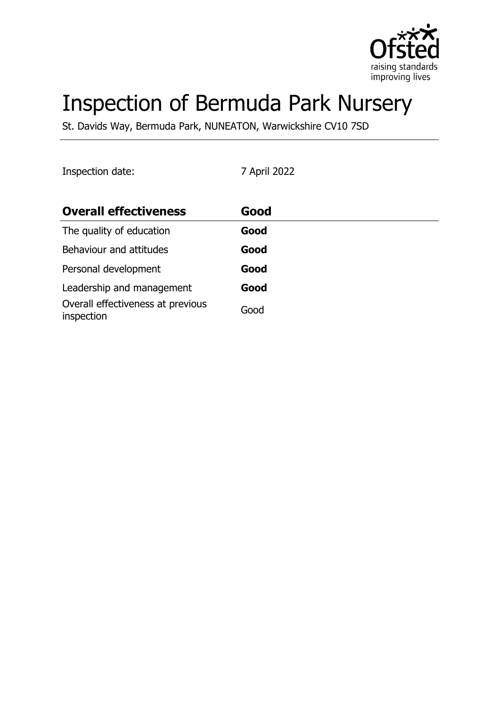

# Inspection of Bermuda Park Nursery

St. Davids Way, Bermuda Park, NUNEATON, Warwickshire CV10 7SD

Inspection date: 7 April 2022

| <b>Overall effectiveness</b>                    | Good |
|-------------------------------------------------|------|
| The quality of education                        | Good |
| Behaviour and attitudes                         | Good |
| Personal development                            | Good |
| Leadership and management                       | Good |
| Overall effectiveness at previous<br>inspection | Good |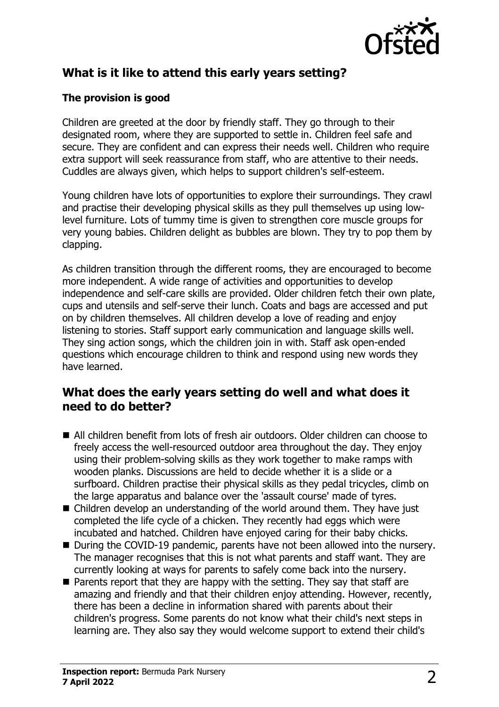

# **What is it like to attend this early years setting?**

## **The provision is good**

Children are greeted at the door by friendly staff. They go through to their designated room, where they are supported to settle in. Children feel safe and secure. They are confident and can express their needs well. Children who require extra support will seek reassurance from staff, who are attentive to their needs. Cuddles are always given, which helps to support children's self-esteem.

Young children have lots of opportunities to explore their surroundings. They crawl and practise their developing physical skills as they pull themselves up using lowlevel furniture. Lots of tummy time is given to strengthen core muscle groups for very young babies. Children delight as bubbles are blown. They try to pop them by clapping.

As children transition through the different rooms, they are encouraged to become more independent. A wide range of activities and opportunities to develop independence and self-care skills are provided. Older children fetch their own plate, cups and utensils and self-serve their lunch. Coats and bags are accessed and put on by children themselves. All children develop a love of reading and enjoy listening to stories. Staff support early communication and language skills well. They sing action songs, which the children join in with. Staff ask open-ended questions which encourage children to think and respond using new words they have learned.

## **What does the early years setting do well and what does it need to do better?**

- All children benefit from lots of fresh air outdoors. Older children can choose to freely access the well-resourced outdoor area throughout the day. They enjoy using their problem-solving skills as they work together to make ramps with wooden planks. Discussions are held to decide whether it is a slide or a surfboard. Children practise their physical skills as they pedal tricycles, climb on the large apparatus and balance over the 'assault course' made of tyres.
- $\blacksquare$  Children develop an understanding of the world around them. They have just completed the life cycle of a chicken. They recently had eggs which were incubated and hatched. Children have enjoyed caring for their baby chicks.
- During the COVID-19 pandemic, parents have not been allowed into the nursery. The manager recognises that this is not what parents and staff want. They are currently looking at ways for parents to safely come back into the nursery.
- $\blacksquare$  Parents report that they are happy with the setting. They say that staff are amazing and friendly and that their children enjoy attending. However, recently, there has been a decline in information shared with parents about their children's progress. Some parents do not know what their child's next steps in learning are. They also say they would welcome support to extend their child's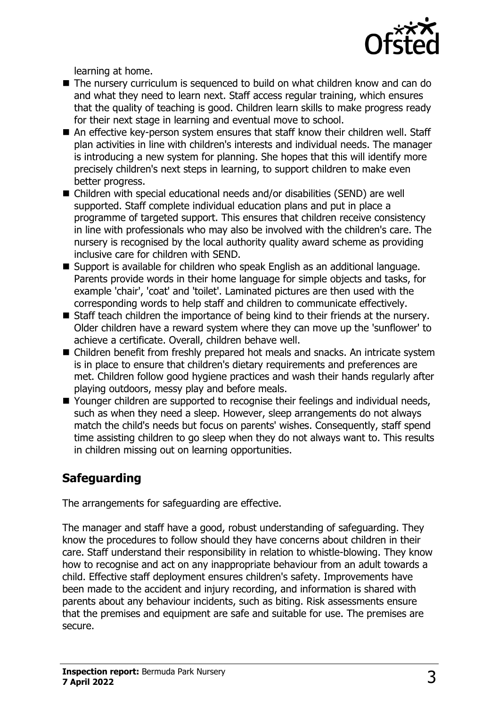

learning at home.

- $\blacksquare$  The nursery curriculum is sequenced to build on what children know and can do and what they need to learn next. Staff access regular training, which ensures that the quality of teaching is good. Children learn skills to make progress ready for their next stage in learning and eventual move to school.
- An effective key-person system ensures that staff know their children well. Staff plan activities in line with children's interests and individual needs. The manager is introducing a new system for planning. She hopes that this will identify more precisely children's next steps in learning, to support children to make even better progress.
- Children with special educational needs and/or disabilities (SEND) are well supported. Staff complete individual education plans and put in place a programme of targeted support. This ensures that children receive consistency in line with professionals who may also be involved with the children's care. The nursery is recognised by the local authority quality award scheme as providing inclusive care for children with SEND.
- Support is available for children who speak English as an additional language. Parents provide words in their home language for simple objects and tasks, for example 'chair', 'coat' and 'toilet'. Laminated pictures are then used with the corresponding words to help staff and children to communicate effectively.
- Staff teach children the importance of being kind to their friends at the nursery. Older children have a reward system where they can move up the 'sunflower' to achieve a certificate. Overall, children behave well.
- Children benefit from freshly prepared hot meals and snacks. An intricate system is in place to ensure that children's dietary requirements and preferences are met. Children follow good hygiene practices and wash their hands regularly after playing outdoors, messy play and before meals.
- Younger children are supported to recognise their feelings and individual needs, such as when they need a sleep. However, sleep arrangements do not always match the child's needs but focus on parents' wishes. Consequently, staff spend time assisting children to go sleep when they do not always want to. This results in children missing out on learning opportunities.

# **Safeguarding**

The arrangements for safeguarding are effective.

The manager and staff have a good, robust understanding of safeguarding. They know the procedures to follow should they have concerns about children in their care. Staff understand their responsibility in relation to whistle-blowing. They know how to recognise and act on any inappropriate behaviour from an adult towards a child. Effective staff deployment ensures children's safety. Improvements have been made to the accident and injury recording, and information is shared with parents about any behaviour incidents, such as biting. Risk assessments ensure that the premises and equipment are safe and suitable for use. The premises are secure.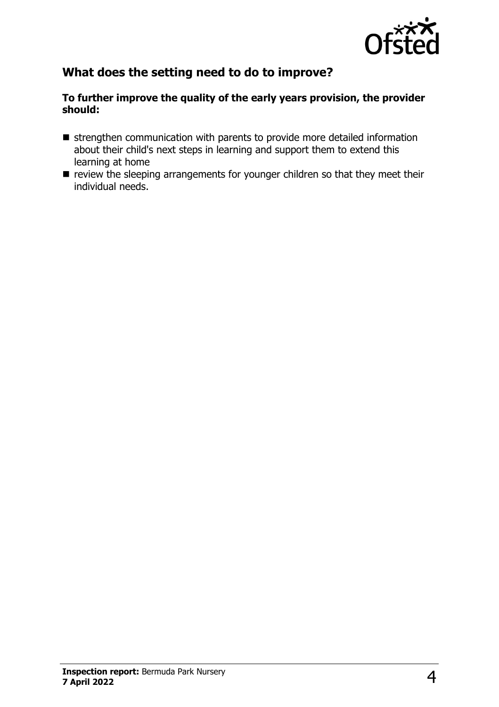

# **What does the setting need to do to improve?**

#### **To further improve the quality of the early years provision, the provider should:**

- $\blacksquare$  strengthen communication with parents to provide more detailed information about their child's next steps in learning and support them to extend this learning at home
- $\blacksquare$  review the sleeping arrangements for younger children so that they meet their individual needs.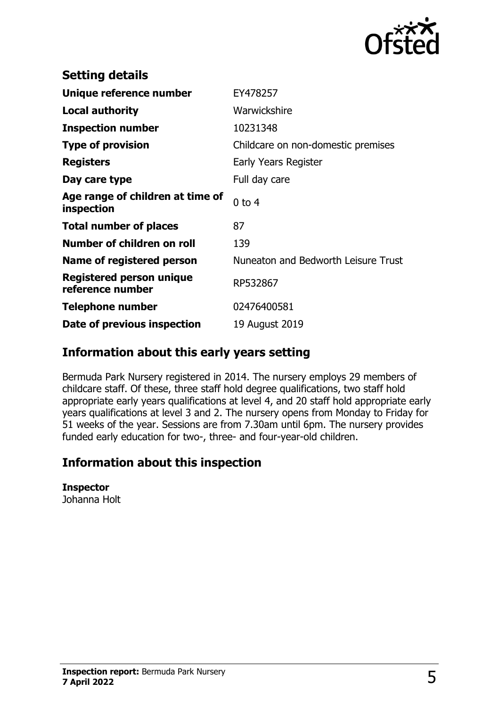

| <b>Setting details</b>                              |                                     |
|-----------------------------------------------------|-------------------------------------|
| Unique reference number                             | EY478257                            |
| <b>Local authority</b>                              | Warwickshire                        |
| <b>Inspection number</b>                            | 10231348                            |
| <b>Type of provision</b>                            | Childcare on non-domestic premises  |
| <b>Registers</b>                                    | Early Years Register                |
| Day care type                                       | Full day care                       |
| Age range of children at time of<br>inspection      | $0$ to $4$                          |
| <b>Total number of places</b>                       | 87                                  |
| Number of children on roll                          | 139                                 |
| Name of registered person                           | Nuneaton and Bedworth Leisure Trust |
| <b>Registered person unique</b><br>reference number | RP532867                            |
| <b>Telephone number</b>                             | 02476400581                         |
| Date of previous inspection                         | 19 August 2019                      |

# **Information about this early years setting**

Bermuda Park Nursery registered in 2014. The nursery employs 29 members of childcare staff. Of these, three staff hold degree qualifications, two staff hold appropriate early years qualifications at level 4, and 20 staff hold appropriate early years qualifications at level 3 and 2. The nursery opens from Monday to Friday for 51 weeks of the year. Sessions are from 7.30am until 6pm. The nursery provides funded early education for two-, three- and four-year-old children.

## **Information about this inspection**

#### **Inspector**

Johanna Holt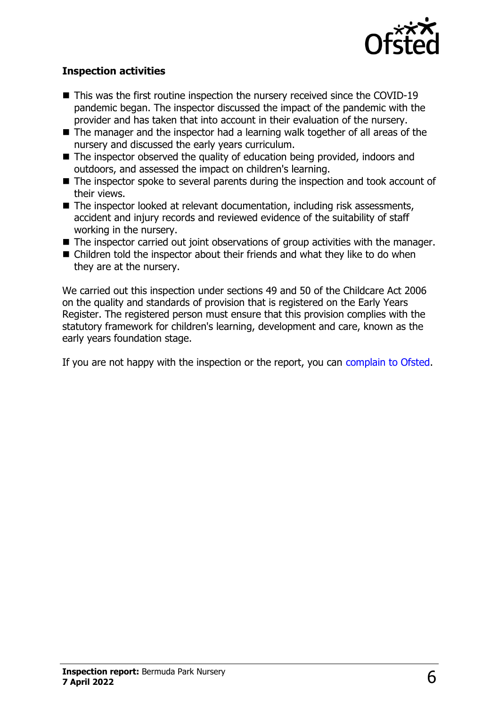

### **Inspection activities**

- $\blacksquare$  This was the first routine inspection the nursery received since the COVID-19 pandemic began. The inspector discussed the impact of the pandemic with the provider and has taken that into account in their evaluation of the nursery.
- $\blacksquare$  The manager and the inspector had a learning walk together of all areas of the nursery and discussed the early years curriculum.
- $\blacksquare$  The inspector observed the quality of education being provided, indoors and outdoors, and assessed the impact on children's learning.
- $\blacksquare$  The inspector spoke to several parents during the inspection and took account of their views.
- $\blacksquare$  The inspector looked at relevant documentation, including risk assessments, accident and injury records and reviewed evidence of the suitability of staff working in the nursery.
- $\blacksquare$  The inspector carried out joint observations of group activities with the manager.
- $\blacksquare$  Children told the inspector about their friends and what they like to do when they are at the nursery.

We carried out this inspection under sections 49 and 50 of the Childcare Act 2006 on the quality and standards of provision that is registered on the Early Years Register. The registered person must ensure that this provision complies with the statutory framework for children's learning, development and care, known as the early years foundation stage.

If you are not happy with the inspection or the report, you can [complain to Ofsted](http://www.gov.uk/complain-ofsted-report).